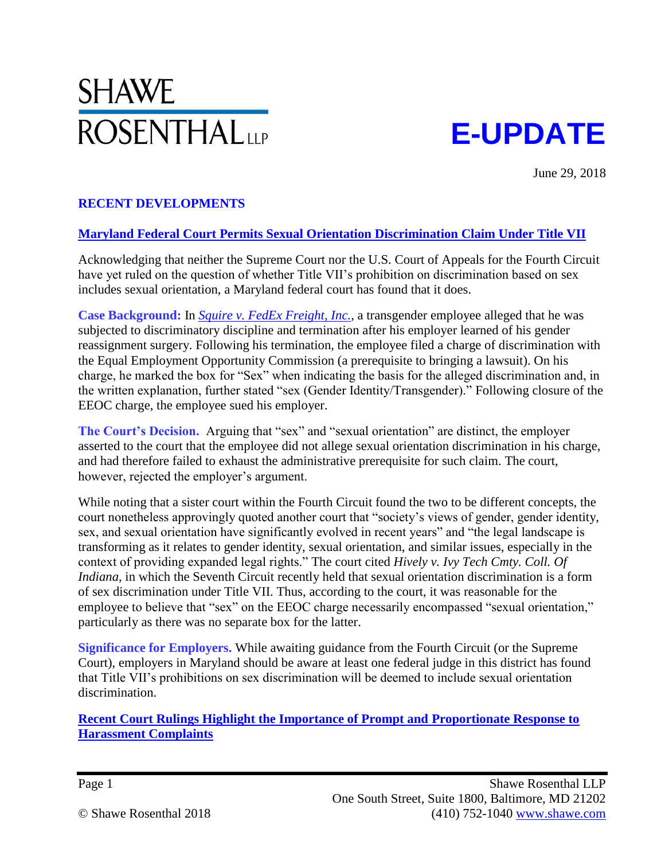# SHAWE **ROSENTHAL**<sub>LLP</sub>

# **E-UPDATE**

June 29, 2018

# **RECENT DEVELOPMENTS**

#### **Maryland Federal Court Permits Sexual Orientation Discrimination Claim Under Title VII**

Acknowledging that neither the Supreme Court nor the U.S. Court of Appeals for the Fourth Circuit have yet ruled on the question of whether Title VII's prohibition on discrimination based on sex includes sexual orientation, a Maryland federal court has found that it does.

**Case Background:** In *[Squire v. FedEx Freight, Inc.](https://scholar.google.com/scholar_case?case=11591390029410458513&hl=en&as_sdt=6&as_vis=1&oi=scholarr)*, a transgender employee alleged that he was subjected to discriminatory discipline and termination after his employer learned of his gender reassignment surgery. Following his termination, the employee filed a charge of discrimination with the Equal Employment Opportunity Commission (a prerequisite to bringing a lawsuit). On his charge, he marked the box for "Sex" when indicating the basis for the alleged discrimination and, in the written explanation, further stated "sex (Gender Identity/Transgender)." Following closure of the EEOC charge, the employee sued his employer.

The Court's Decision. Arguing that "sex" and "sexual orientation" are distinct, the employer asserted to the court that the employee did not allege sexual orientation discrimination in his charge, and had therefore failed to exhaust the administrative prerequisite for such claim. The court, however, rejected the employer's argument.

While noting that a sister court within the Fourth Circuit found the two to be different concepts, the court nonetheless approvingly quoted another court that "society's views of gender, gender identity, sex, and sexual orientation have significantly evolved in recent years" and "the legal landscape is transforming as it relates to gender identity, sexual orientation, and similar issues, especially in the context of providing expanded legal rights." The court cited *Hively v. Ivy Tech Cmty. Coll. Of Indiana*, in which the Seventh Circuit recently held that sexual orientation discrimination is a form of sex discrimination under Title VII. Thus, according to the court, it was reasonable for the employee to believe that "sex" on the EEOC charge necessarily encompassed "sexual orientation," particularly as there was no separate box for the latter.

**Significance for Employers.** While awaiting guidance from the Fourth Circuit (or the Supreme Court), employers in Maryland should be aware at least one federal judge in this district has found that Title VII's prohibitions on sex discrimination will be deemed to include sexual orientation discrimination.

**Recent Court Rulings Highlight the Importance of Prompt and Proportionate Response to Harassment Complaints**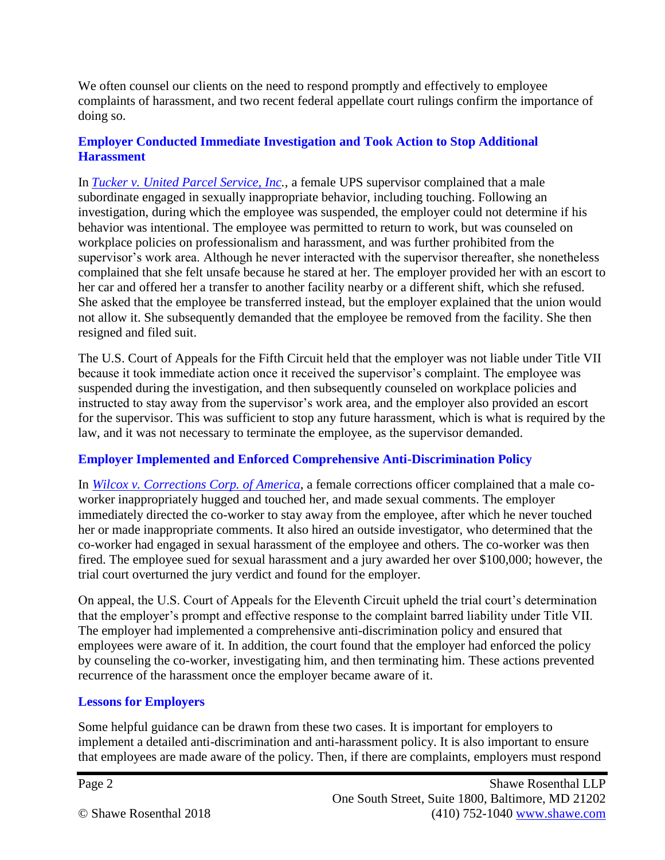We often counsel our clients on the need to respond promptly and effectively to employee complaints of harassment, and two recent federal appellate court rulings confirm the importance of doing so.

#### **Employer Conducted Immediate Investigation and Took Action to Stop Additional Harassment**

In *[Tucker v. United Parcel Service, Inc.](https://law.justia.com/cases/federal/appellate-courts/ca5/17-30574/17-30574-2018-06-05.html),* a female UPS supervisor complained that a male subordinate engaged in sexually inappropriate behavior, including touching. Following an investigation, during which the employee was suspended, the employer could not determine if his behavior was intentional. The employee was permitted to return to work, but was counseled on workplace policies on professionalism and harassment, and was further prohibited from the supervisor's work area. Although he never interacted with the supervisor thereafter, she nonetheless complained that she felt unsafe because he stared at her. The employer provided her with an escort to her car and offered her a transfer to another facility nearby or a different shift, which she refused. She asked that the employee be transferred instead, but the employer explained that the union would not allow it. She subsequently demanded that the employee be removed from the facility. She then resigned and filed suit.

The U.S. Court of Appeals for the Fifth Circuit held that the employer was not liable under Title VII because it took immediate action once it received the supervisor's complaint. The employee was suspended during the investigation, and then subsequently counseled on workplace policies and instructed to stay away from the supervisor's work area, and the employer also provided an escort for the supervisor. This was sufficient to stop any future harassment, which is what is required by the law, and it was not necessary to terminate the employee, as the supervisor demanded.

# **Employer Implemented and Enforced Comprehensive Anti-Discrimination Policy**

In *[Wilcox v. Corrections Corp. of America](http://media.ca11.uscourts.gov/opinions/pub/files/201711919.pdf)*, a female corrections officer complained that a male coworker inappropriately hugged and touched her, and made sexual comments. The employer immediately directed the co-worker to stay away from the employee, after which he never touched her or made inappropriate comments. It also hired an outside investigator, who determined that the co-worker had engaged in sexual harassment of the employee and others. The co-worker was then fired. The employee sued for sexual harassment and a jury awarded her over \$100,000; however, the trial court overturned the jury verdict and found for the employer.

On appeal, the U.S. Court of Appeals for the Eleventh Circuit upheld the trial court's determination that the employer's prompt and effective response to the complaint barred liability under Title VII. The employer had implemented a comprehensive anti-discrimination policy and ensured that employees were aware of it. In addition, the court found that the employer had enforced the policy by counseling the co-worker, investigating him, and then terminating him. These actions prevented recurrence of the harassment once the employer became aware of it.

#### **Lessons for Employers**

Some helpful guidance can be drawn from these two cases. It is important for employers to implement a detailed anti-discrimination and anti-harassment policy. It is also important to ensure that employees are made aware of the policy. Then, if there are complaints, employers must respond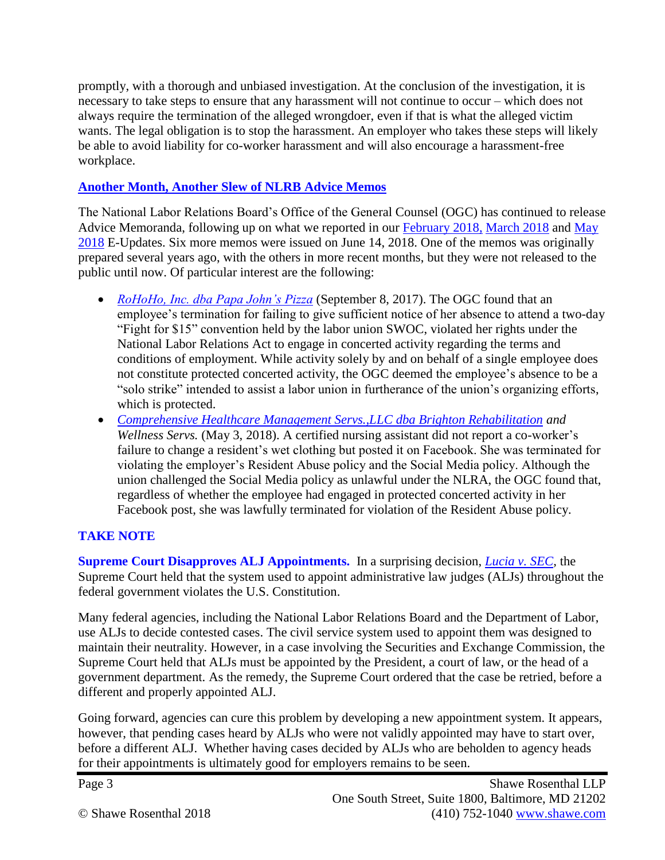promptly, with a thorough and unbiased investigation. At the conclusion of the investigation, it is necessary to take steps to ensure that any harassment will not continue to occur – which does not always require the termination of the alleged wrongdoer, even if that is what the alleged victim wants. The legal obligation is to stop the harassment. An employer who takes these steps will likely be able to avoid liability for co-worker harassment and will also encourage a harassment-free workplace.

### **Another Month, Another Slew of NLRB Advice Memos**

The National Labor Relations Board's Office of the General Counsel (OGC) has continued to release Advice Memoranda, following up on what we reported in our [February 2018,](https://shawe.com/articles/nlrb-releases-multitude-of-advice-memos/) [March 2018](https://shawe.com/articles/nlrb-releases-additional-advice-memos/) and [May](https://shawe.com/articles/nlrb-releases-more-new-advice-memos/)  [2018](https://shawe.com/articles/nlrb-releases-more-new-advice-memos/) E-Updates. Six more memos were issued on June 14, 2018. One of the memos was originally prepared several years ago, with the others in more recent months, but they were not released to the public until now. Of particular interest are the following:

- *[RoHoHo, Inc. dba Papa John's Pizza](https://shawe.com/wp-content/uploads/2018/06/10_ca_192458_09_08_17_.pdf.pdf)* (September 8, 2017). The OGC found that an employee's termination for failing to give sufficient notice of her absence to attend a two-day "Fight for \$15" convention held by the labor union SWOC, violated her rights under the National Labor Relations Act to engage in concerted activity regarding the terms and conditions of employment. While activity solely by and on behalf of a single employee does not constitute protected concerted activity, the OGC deemed the employee's absence to be a "solo strike" intended to assist a labor union in furtherance of the union's organizing efforts, which is protected.
- *[Comprehensive Healthcare Management Servs.,LLC dba Brighton Rehabilitation](https://shawe.com/wp-content/uploads/2018/06/06_ca_209251_05_03_18_.pdf.pdf) and Wellness Servs.* (May 3, 2018). A certified nursing assistant did not report a co-worker's failure to change a resident's wet clothing but posted it on Facebook. She was terminated for violating the employer's Resident Abuse policy and the Social Media policy. Although the union challenged the Social Media policy as unlawful under the NLRA, the OGC found that, regardless of whether the employee had engaged in protected concerted activity in her Facebook post, she was lawfully terminated for violation of the Resident Abuse policy.

# **TAKE NOTE**

**Supreme Court Disapproves ALJ Appointments.** In a surprising decision, *[Lucia v. SEC,](https://www.supremecourt.gov/opinions/17pdf/17-130_4f14.pdf)* the Supreme Court held that the system used to appoint administrative law judges (ALJs) throughout the federal government violates the U.S. Constitution.

Many federal agencies, including the National Labor Relations Board and the Department of Labor, use ALJs to decide contested cases. The civil service system used to appoint them was designed to maintain their neutrality. However, in a case involving the Securities and Exchange Commission, the Supreme Court held that ALJs must be appointed by the President, a court of law, or the head of a government department. As the remedy, the Supreme Court ordered that the case be retried, before a different and properly appointed ALJ.

Going forward, agencies can cure this problem by developing a new appointment system. It appears, however, that pending cases heard by ALJs who were not validly appointed may have to start over, before a different ALJ. Whether having cases decided by ALJs who are beholden to agency heads for their appointments is ultimately good for employers remains to be seen.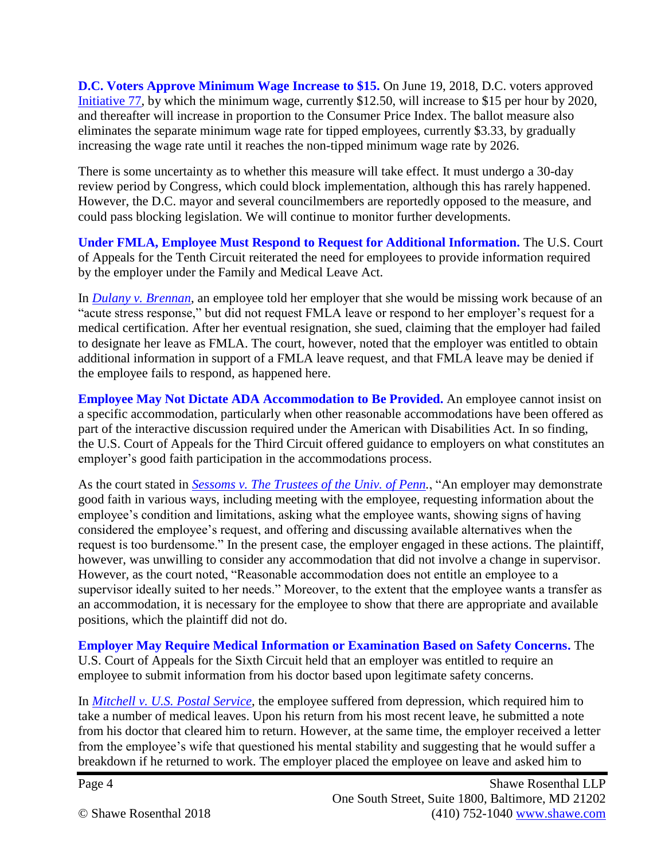**D.C. Voters Approve Minimum Wage Increase to \$15.** On June 19, 2018, D.C. voters approved [Initiative 77,](https://dcboe.org/CMSPages/GetFile.aspx?guid=509a563a-f4a0-4a75-8918-44d7b4e74676) by which the minimum wage, currently \$12.50, will increase to \$15 per hour by 2020, and thereafter will increase in proportion to the Consumer Price Index. The ballot measure also eliminates the separate minimum wage rate for tipped employees, currently \$3.33, by gradually increasing the wage rate until it reaches the non-tipped minimum wage rate by 2026.

There is some uncertainty as to whether this measure will take effect. It must undergo a 30-day review period by Congress, which could block implementation, although this has rarely happened. However, the D.C. mayor and several councilmembers are reportedly opposed to the measure, and could pass blocking legislation. We will continue to monitor further developments.

**Under FMLA, Employee Must Respond to Request for Additional Information.** The U.S. Court of Appeals for the Tenth Circuit reiterated the need for employees to provide information required by the employer under the Family and Medical Leave Act.

In *[Dulany v. Brennan](https://scholar.google.com/scholar_case?case=12707331845090012981&hl=en&as_sdt=6&as_vis=1&oi=scholarr)*, an employee told her employer that she would be missing work because of an "acute stress response," but did not request FMLA leave or respond to her employer's request for a medical certification. After her eventual resignation, she sued, claiming that the employer had failed to designate her leave as FMLA. The court, however, noted that the employer was entitled to obtain additional information in support of a FMLA leave request, and that FMLA leave may be denied if the employee fails to respond, as happened here.

**Employee May Not Dictate ADA Accommodation to Be Provided.** An employee cannot insist on a specific accommodation, particularly when other reasonable accommodations have been offered as part of the interactive discussion required under the American with Disabilities Act. In so finding, the U.S. Court of Appeals for the Third Circuit offered guidance to employers on what constitutes an employer's good faith participation in the accommodations process.

As the court stated in *[Sessoms v. The Trustees of the Univ. of Penn.](http://www2.ca3.uscourts.gov/opinarch/172369np.pdf)*, "An employer may demonstrate good faith in various ways, including meeting with the employee, requesting information about the employee's condition and limitations, asking what the employee wants, showing signs of having considered the employee's request, and offering and discussing available alternatives when the request is too burdensome." In the present case, the employer engaged in these actions. The plaintiff, however, was unwilling to consider any accommodation that did not involve a change in supervisor. However, as the court noted, "Reasonable accommodation does not entitle an employee to a supervisor ideally suited to her needs." Moreover, to the extent that the employee wants a transfer as an accommodation, it is necessary for the employee to show that there are appropriate and available positions, which the plaintiff did not do.

**Employer May Require Medical Information or Examination Based on Safety Concerns.** The U.S. Court of Appeals for the Sixth Circuit held that an employer was entitled to require an employee to submit information from his doctor based upon legitimate safety concerns.

In *[Mitchell v. U.S. Postal Service](https://cases.justia.com/federal/appellate-courts/ca6/17-2349/6113437225/1.pdf?ts=1529745444)*, the employee suffered from depression, which required him to take a number of medical leaves. Upon his return from his most recent leave, he submitted a note from his doctor that cleared him to return. However, at the same time, the employer received a letter from the employee's wife that questioned his mental stability and suggesting that he would suffer a breakdown if he returned to work. The employer placed the employee on leave and asked him to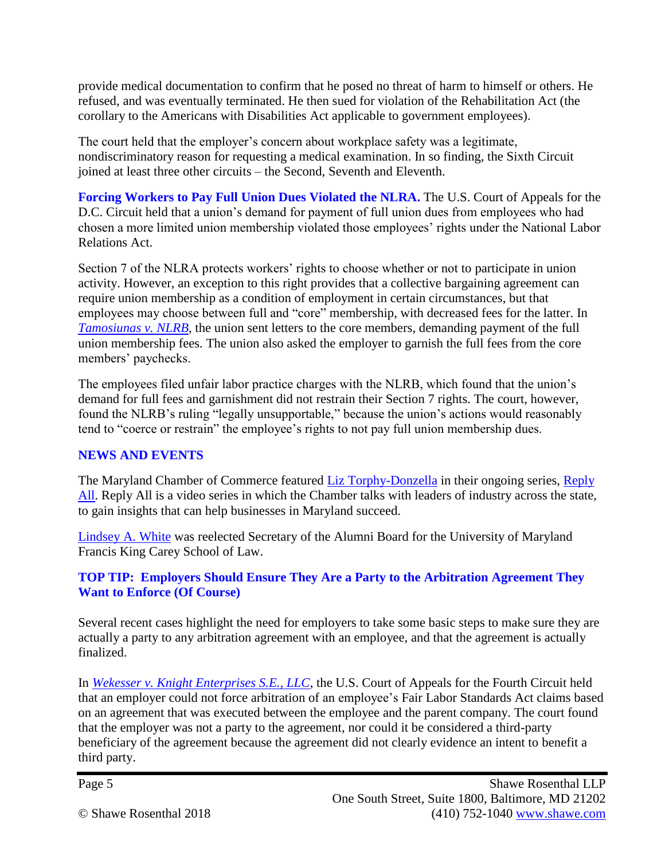provide medical documentation to confirm that he posed no threat of harm to himself or others. He refused, and was eventually terminated. He then sued for violation of the Rehabilitation Act (the corollary to the Americans with Disabilities Act applicable to government employees).

The court held that the employer's concern about workplace safety was a legitimate, nondiscriminatory reason for requesting a medical examination. In so finding, the Sixth Circuit joined at least three other circuits – the Second, Seventh and Eleventh.

**Forcing Workers to Pay Full Union Dues Violated the NLRA.** The U.S. Court of Appeals for the D.C. Circuit held that a union's demand for payment of full union dues from employees who had chosen a more limited union membership violated those employees' rights under the National Labor Relations Act.

Section 7 of the NLRA protects workers' rights to choose whether or not to participate in union activity. However, an exception to this right provides that a collective bargaining agreement can require union membership as a condition of employment in certain circumstances, but that employees may choose between full and "core" membership, with decreased fees for the latter. In *[Tamosiunas v. NLRB](https://law.justia.com/cases/federal/appellate-courts/cadc/16-1338/16-1338-2018-06-15.html)*, the union sent letters to the core members, demanding payment of the full union membership fees. The union also asked the employer to garnish the full fees from the core members' paychecks.

The employees filed unfair labor practice charges with the NLRB, which found that the union's demand for full fees and garnishment did not restrain their Section 7 rights. The court, however, found the NLRB's ruling "legally unsupportable," because the union's actions would reasonably tend to "coerce or restrain" the employee's rights to not pay full union membership dues.

# **NEWS AND EVENTS**

The Maryland Chamber of Commerce featured [Liz Torphy-Donzella](https://shawe.com/attorneys/elizabeth-torphy-donzella/) in their ongoing series, Reply [All.](https://mdchamber.org/reply-all-a-conversation-with-elizabeth-torphy-donzella/) Reply All is a video series in which the Chamber talks with leaders of industry across the state, to gain insights that can help businesses in Maryland succeed.

[Lindsey A. White](https://shawe.com/attorneys/lindsey-a-white/) was reelected Secretary of the Alumni Board for the University of Maryland Francis King Carey School of Law.

#### **TOP TIP: Employers Should Ensure They Are a Party to the Arbitration Agreement They Want to Enforce (Of Course)**

Several recent cases highlight the need for employers to take some basic steps to make sure they are actually a party to any arbitration agreement with an employee, and that the agreement is actually finalized.

In *[Wekesser v. Knight Enterprises S.E., LLC](https://scholar.google.com/scholar_case?case=7647393211287629341&hl=en&as_sdt=6&as_vis=1&oi=scholarr)*, the U.S. Court of Appeals for the Fourth Circuit held that an employer could not force arbitration of an employee's Fair Labor Standards Act claims based on an agreement that was executed between the employee and the parent company. The court found that the employer was not a party to the agreement, nor could it be considered a third-party beneficiary of the agreement because the agreement did not clearly evidence an intent to benefit a third party.